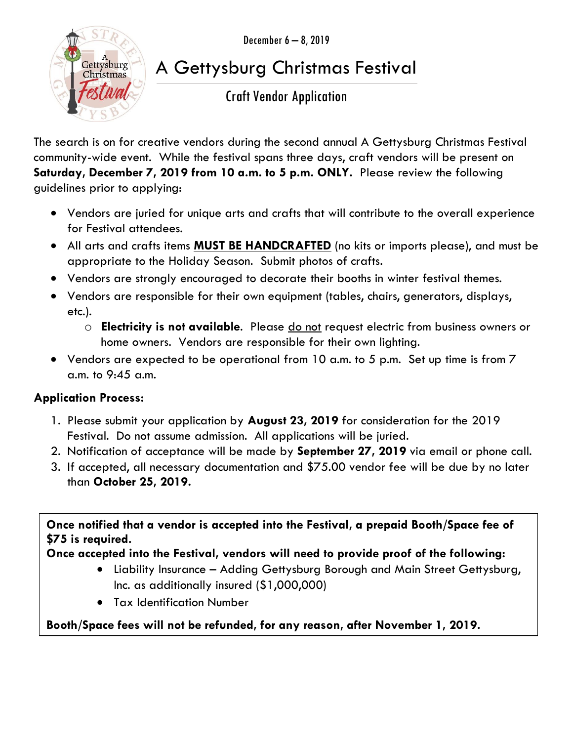December 6 – 8, 2019



# A Gettysburg Christmas Festival

### Craft Vendor Application

The search is on for creative vendors during the second annual A Gettysburg Christmas Festival community-wide event. While the festival spans three days, craft vendors will be present on **Saturday, December 7, 2019 from 10 a.m. to 5 p.m. ONLY.** Please review the following guidelines prior to applying:

- Vendors are juried for unique arts and crafts that will contribute to the overall experience for Festival attendees.
- All arts and crafts items **MUST BE HANDCRAFTED** (no kits or imports please), and must be appropriate to the Holiday Season. Submit photos of crafts.
- Vendors are strongly encouraged to decorate their booths in winter festival themes.
- Vendors are responsible for their own equipment (tables, chairs, generators, displays, etc.).
	- o **Electricity is not available**. Please do not request electric from business owners or home owners. Vendors are responsible for their own lighting.
- Vendors are expected to be operational from 10 a.m. to 5 p.m. Set up time is from 7 a.m. to 9:45 a.m.

#### **Application Process:**

- 1. Please submit your application by **August 23, 2019** for consideration for the 2019 Festival. Do not assume admission. All applications will be juried.
- 2. Notification of acceptance will be made by **September 27, 2019** via email or phone call.
- 3. If accepted, all necessary documentation and \$75.00 vendor fee will be due by no later than **October 25, 2019.**

**Once notified that a vendor is accepted into the Festival, a prepaid Booth/Space fee of \$75 is required.** 

#### **Once accepted into the Festival, vendors will need to provide proof of the following:**

- Liability Insurance Adding Gettysburg Borough and Main Street Gettysburg, Inc. as additionally insured (\$1,000,000)
- Tax Identification Number

**Booth/Space fees will not be refunded, for any reason, after November 1, 2019.**